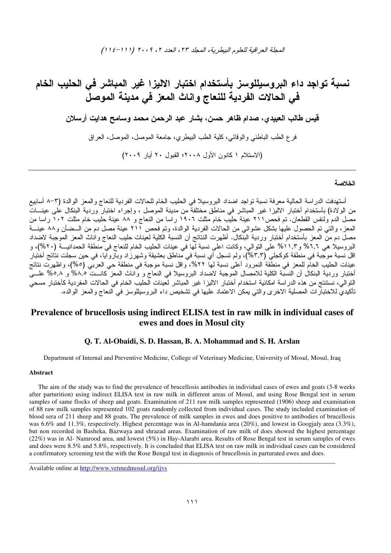المعجلة العراقية للعلوم البيطرية، المجلد ٢٣، العدد ٢، ٢٠٠٩ (١١١/-١١٤)

# نسبة تواجد داع البروسيللوسز بأستخدام اختبار الاليزا غير المباشر فى الحليب الخام في الحالات الفردية للنعاج وانات المعز في مدينة الموصلُ قيس طالب العبيدي، صدام ظاهر حسن، بشار عبد الرحمن محمد وسامح هدايت أرسلان فرع الطب الباطني والوقائي، كلية الطب البيطري، جامعة الموصل، الموصل، العراق (الاستلام ١ كانون الأول ٢٠٠٨؛ القبول ٢٠ أبار ٢٠٠٩)

### الخلاصة

أستهدفت الدراسة الحالية معرفة نسبة نواجد اضداد البروسيلا في الحليب الخام للحالات الفردية للنعاج والمعز الوالدة (٣–٨ أسابيع من الولادة) بأستخدام أختبار الاليزا غير المُباشر في مناطقٌ مُختلفةٌ من مُدينة الموصل ، وإجرَّاء اختبار وردية البنكال على عينـــات مصل الدم ولنفس القطعان. تم فحص١١١ عينة حليب خام مثلت ١٩٠٦ راسا من النعاج و ٨٨ عينة حليب خام مثلت ١٠٢ راسا من المعز، والنتي تم الحصول عليها بشكل عشوائـي من الحالات الفردية الوالدة، وتم فَحص ٢٦١ عينة مصل دم من الــضأن و٨٨ عينـــة مصل دم منَّ المعز بأستخدام أختبار وردية البنكال. أظهرت النتائج أن النسبة الكلية لعينات حليب النعاج واناث المعز الموجبة لاضداد البروسيلًا هي ٦,٦% و١٠١% علَّى الَّتوالي، وكانت اعلَّى نسبة لَّها في عينات الحليب الخام للنعاج في منطقة الحمدانيـــة (٢٠%)، و اقل نسبة موجّبة في منطقة كوكجلي (٣,٣)، ولم تسجل أي نسبة في مناطق بعشيقة وشهرزاد وبآزوآيا، في حين سجلت نتَائج أختبار عينات الحليب الخامّ للمعز في منطَّقةُ النمرود أعلىٰ نسبة لمها ٢٢%، واقل نسبة موجبة في مُنطقة حي العربـي (٥%)، واظهرت نتائج أختبار وردية البنكال أن النسبة الكلية للامصال الموجبة لاضداد البروسيلا في النعاج و واناث المعز كانــت ٨٨,٥% و ٥,٨% علــي النوالي، نستنتج من هذه الدراسة امكانية استخدام أختبار الاليزا غير المباشر لعينات الحليب الخام في الحالات المفردية كأختبار مسحى تأكيديّ للاختبار ات المصلية الاخرى والتي يمكن الاعتماد عليها في تشخيص داء البروسيللوسز في النعاج والمعز الوالده.

# Prevalence of brucellosis using indirect ELISA test in raw milk in individual cases of ewes and does in Mosul city

## Q. T. Al-Obaidi, S. D. Hassan, B. A. Mohammad and S. H. Arslan

Department of Internal and Preventive Medicine, College of Veterinary Medicine, University of Mosul, Mosul, Iraq

#### **Abstract**

The aim of the study was to find the prevalence of brucellosis antibodies in individual cases of ewes and goats (3-8 weeks after parturition) using indirect ELISA test in raw milk in different areas of Mosul, and using Rose Bengal test in serum samples of same flocks of sheep and goats. Examination of 211 raw milk samples represented (1906) sheep and examination of 88 raw milk samples represented 102 goats randomly collected from individual cases. The study included examination of blood sera of 211 sheep and 88 goats. The prevalence of milk samples in ewes and does positive to antibodies of brucellosis was 6.6% and 11.3%, respectively. Highest percentage was in Al-hamdania area (20%), and lowest in Googjaly area (3.3%), but non recorded in Basheka, Bazwaya and shrazad areas. Examination of raw milk of does showed the highest percentage  $(22%)$  was in Al-Namrood area, and lowest  $(5%)$  in Hay-Alarabi area. Results of Rose Bengal test in serum samples of ewes and does were 8.5% and 5.8%, respectively. It is concluded that ELISA test on raw milk in individual cases can be considered a confirmatory screening test the with the Rose Bengal test in diagnosis of brucellosis in parturated ewes and does.

Available online at http://www.vetmedmosul.org/ijvs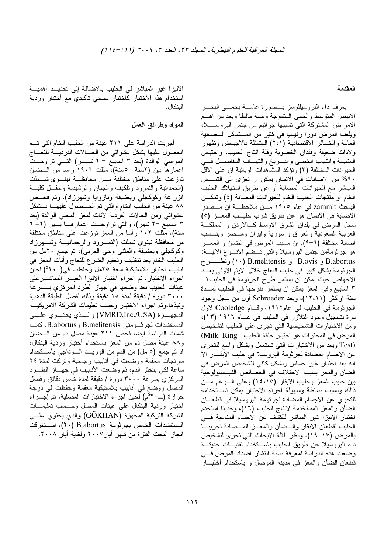#### المقدمة

يعرف داء البروسيللوسز بــصورة عامـــة بحمـــي البحـــر الابيض المنوسط والحمى المتموجة وحمة مالطا ويعد من اهــم الامراض المشتركة التي تسببها جراثيم من جنس البروســيلا، ويلعب المرض دورا رئيسيا في كثير من المـــشاكل الـــصـحية العامة والخسائر الاقتصادية (٢،١) المتمثلة بالاجهاض وظهور ولادات ضعيفة وفقدان الخصوبة وقلة انتاج الحليب، واحتباس المشيمة والتهاب الخصى والبسربخ والتهساب المفاصسل فسي الحيوانات المختلفة (٣) وتؤكد المشاهدات الوبائية ان على الاقل ٩٠% من الاصابات في الانسان يمكن ان نعزى الى التمـــاس المباشر مع الحيوانات المصابة أو عن طريق استهلاك الحليب الخام او منتجات الحليب الخام للحيوانات المصابة (٤) وتمكــن الباحث zammit في عام ١٩٠٥ مـن ملاحظـة ان مــصدر الاصابة في الانسان هو عن طريق شرب حليب المعــز (٥) سجل المرض في بلدان الشرق الاوسط كـــالاردن و المملكـــة العربية السعودية والعراق و سورية وايران ومــصر وبنــسب اصابة مختلفة (٦–٩). ان مسبب المرض في الضأن و المعـــز هو جرثومةمن جنس البروسيلا والتي تــضم الانـــوع الاننيـــة: B.abortus و B.ovis و B.melitensis (۱۰) ونطــــــــرح الجرثومة بشكل كبير في حليب النعاج خلال الايام الاولى بعــد الاجهاض حيث يمكن ان يستمر طرح الجرثومة في الحليب١– ٣ اسابيع وفي المعز يمكن ان يستمر طرحها في الحليب لمــــدة سنة اوأكثر (١٢،١١)، ويعد Schroeder أول من سجل وجود الجرثومة في الطيب في عام١٩١٢، وقــام Cooledge لاول مرة بتسجيل وجود التلازن في الحليب في عـــام ١٩١٦ (١٣)، ومن الاختبارات التشخيصية التي تجرى على الحليب لتشخيص المرض في المجترات هو اختبار حلقة الحليب Milk Ring) (Test ويعد من الاختبارات التي تستعمل وبشكل واسع للتحري عن الاجسام المضادة لجرثومة البروسيلا في حليب الابقـــار الا انه بعد اختبار غير حساس وبشكل كافي لتشخيص المرض في الضأن والمعز بسبب الاختلاف في الخصائص الفيــسيولوجية بين حليب المعز وحليب الابقار (١٤،١٥) وعلى السرغم مـــن ذالك وبسبب بساطة وسهولة اجراء الاختبار يمكن اسستخدامه للتحري عن الاجسام المضادة لجرثومة البروسيلا في قطعـــان الضأن والمعز المستخدمة لانتاج الحليب (١٦)، وحديثا استخدم اختبار الاليزا غير المباشر للكشف عن الاجسام المناعية فسي الحليب لقطعان الابقار والسضأن والمعسز المسصابة نجريبسا بالمرض (١٧–١٩). ونظرا لقلة الابحاث التي تجرى لتشخيص داء البروسيلا عن طريق الحليب باســـنخدام تقنيـــات حديثـــة وضعت هذه الدراسة لمعرفة نسبة انتشار اضداد المرض فسي قطعان الضأن والمعز في مدينة الموصل و باستخدام أختبـــار

الاليزا غير المباشر في الحليب بالاضافة إلى تحديــد أهميـــة استخدام هذا الاختبار كاختبار مسحى تأكيدي مع أختبار وردية البنكال .

### المواد وطرائق العمل

أجريت الدراسة على ٢١١ عينة من الحليب الخام التي تـــم الحصول عليها بشكل عشوائي من الحـــالات الفرديــــة للنعــــاج العواسي الوالدة (بعد ٣ اسابيع – ٢ شــــهر) النــــي نراوحـــت اعمار ها بين (٢سنة –٥سنة)، مثلت ١٩٠٦ رأسا من الــضأن نوزعت على مناطق مختلفة مـــن محافظـــة نينـــوى شـــملت (الحمدانية والنمرود ونلكيف والجبان والرشيدية وحقــل كليـــة الزراعة وكوكجلَّى وبعشيقة وبازوايا وشهرزاد). ونم فحــص ٨٨ عينة من الحليب الخام والتبي تم المـــصول عليهــــا بـــشكل عشوائي ومن الحالات الفردية لأناث لمعز المحلبي الوالدة (بعد ۳ اسابيع –۲ شهر)، والتي نزلوحـــن اعمارهـــا بــــين (۲– ٦ سنة)، مثلت ١٠٢ رأسا من المعز توزعت على مناطق مختلفة من محافظة نينوى شملت (النمــــرود والرحمانيــــة وشـــــهرزاد وكوكجلَّى وبعشيقة والمُنْتَبيُّ وحي العربي)، تم جمع ٢٠ملَّ من الحليب الخام بعد نتظيف ونعقيم الضرع للنعاج وأناث المعز فمي انابيب اختبار بلاستيكية سعة ٢٥مل وحفظت في(-٢٠°) لحين اجراء الاختبار. تم اجراء اختبار الاليزا الغيـــر المباشــــرعلمي عينات الحليب بعد وضعها في جهاز الطرد المركزي بـــسرعة ٣٠٠٠ دورة / دقيقة لمدة ١٥ دقيقة وذلك لفصل الطبقة الدهنية ونبذهاءوتم اجراء الاختبار وحسب تعليمات الشركة الامريكيـــة المستضدات لجرشومتي B.melitensis و B.abortus. كمسا شملت الدراسة ايضا فحص ٢١١ عينة مصل دم من الــضان و٨٨ عينة مصل دم من المعز بأستخدام أختبار وردية البنكال، اذ تم جمع (٥ مل) من الدم من الوريـــد الـــوداجي بأســـتخدام سرنجات معقمة ووضعت في أنابيب زجاجية ونركت لمدة ٢٤ ساعة لكي يتخثَّر الدم، ثمَّ وضعت الأنابيب في جهـــاز الطـــــرد المركزي بسرعة ٣٠٠٠ دورة / دقيقة لمدة خمس دقائق وفصل المصل ووضع في أنابيب بلاستيكية معقمة وحفظت في درجة اختبار وردية البنكال على عينات المصل وحسسب تعليمسات الشركة التركية المجهزة (GÖKHAN) والذي يحتوي علــــي المستضدات الخاص بجرثومة B.abortus (٢٠)، اســتغرفت انجاز البحث الفترة من شهر أيار ٢٠٠٧ ولغاية أيار ٢٠٠٨.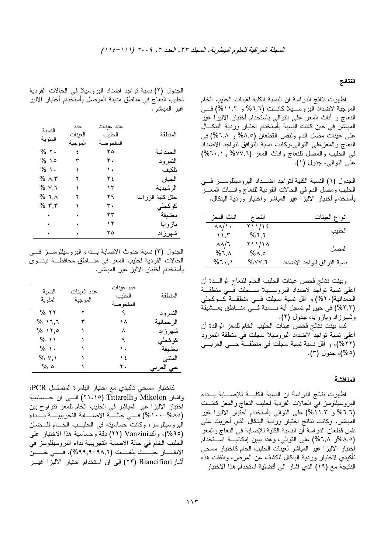### النتائج

اظهرت نتائج الدراسة ان النسبة الكلية لعينات الحليب الخام الموجبة لاضداد البروســيلا كانـــت (٦,٦% و ١١,٣%) فـــي النعاج و أناث المعز على النوالي بأستخدام أختبار الاليزا غير المباشر في حين كانت النسبة بأستخدام اختبار وردية البنكـــال على عينات مصل الدم ولنفس القطعان (٨,٥% و ٦,٨%) في النعاج والمعزعلى النوالى،وكانت نسبة التوافق لنواجد الاضداد في الطيب والمصل للنعاج وإناث المعز (٧٧,٦% و ٢٠١%) على النوالي، جدول (١).

الْجَدُولَ (١) النسبة الكلُّبة لتواجد اضـــداد البروسيللوســــز فــــي الحليب ومصل الدم في الحالات الفردية للنعاج وانساث المعسز بأستخدام أختبار الاليزا غير المباشر واختبار وردية البنكال.

| انواع العينات               | النعاج         | اناث المعز                         |
|-----------------------------|----------------|------------------------------------|
| الحليب                      | ۲۱۱/۱٤<br>%٦,٦ | $\lambda\lambda/\lambda$ .<br>٬۱٫۳ |
| المصل                       | 711/18<br>ه,∧% | $\lambda\lambda/\lambda$<br>%٦,٨   |
| نسبة النوافق لتواجد الاضداد | ۳,∨۷, ۲        | %٦٠,١                              |

وبينت نتائج فحص عينات الحليب الخام للنعاج الوالسدة أن اعلى نسبة نواجد لاضداد البروسـيلا ســجلت فـــى منطقـــة الحمدانية(٢٠%) و اقل نسبة سجلت فـــي منطقـــة كـــوكجلبي (٣,٣%) في حين لم تسجل أية نـــسبة فـــي منــــاطق بعـــشيقة وشهرزاد وبازوايا، جدول (۲).

كما بينت نتائج فحص عينات الحليب الخام للمعز الوالدة أن أعلى نسبة نواجد لاضداد البروسيلا سجلت في منطقة النمرود (٢٢%)، و أقل نسبة نسبة سجلت في منطقـــة حــــي العربــــي (٥%)، جدول (٣).

#### المناقشة

اظهرت نتائج الدراسة ان النسبة الكليسة للإصسابة بسداء البروسيللوسز في الحالات الفردية لحليب النعاج والمعز كانـــت (٦,٦% و ١١,٣%) على النوالبي بأستخدام أحتبار الاليزا غير المباشر، وكانت نتائج اختبار وردية البنكال الذي أجريت على .<br>نفس قطعان الدر اسة أن النسبة الكلية للإصابة في النعاج والمعز (٨,٥%و ٦,٨%) على النوالي، وهذا بيبين إمكانيــة اســنخدام اختبار الاليزا غير المباشر لعينات الحليب الخام كاختبار مسحي تأكيدي لاختبار وردية البنكال للكشف عن المرض، واتفقت هذه النتيجة مع (١٩) الذي اشار الى أفضلية استخدام هذا الاختبار

الجدول (٢) نسبة نواجد اضداد البروسيلا في الحالات الفردية لحليب النعاج في مناطق مدينة الموصل بأستخدام أختبار الاليز غير المباشر.

| النسبة   | عدد      | عدد عننات  |                    |
|----------|----------|------------|--------------------|
|          | العينات  | الحليب     | المنطقة            |
| المئو ية | المو جبة | المفحو صنة |                    |
| $%$ ٢٠   | ٤        | ه ۲        | الحمدانية          |
| ه ۱ %    |          | ۲.         | النمرود            |
| % \.     |          | ١.         | تلكيف              |
| % ^,۳    | ۲        | ۲٤         | الجبان             |
| % v,٦    |          | ۱۳         | الرشيدية           |
| % ٦.٨    |          | ۲۹         | حقل كلية الز ر اعة |
| % ۳,۳    |          | ٣.         | كوكجلى             |
|          |          | ۲۳         | بعشيقة             |
|          |          | ۲ (        | باز و ایا          |
|          |          | ه ۲        | شهر ز اد           |

الجدول (٣) نسبة حدوث الاصابة بـــداء البروسيللوســـز فــــي الحالات الفردية لحليب المعز في منـــاطق محافظـــة نينـــوى بأستخدام أختبار الاليز غير المباشر.

| النسبة<br>المئو بة | عدد العينات<br>الموجبة | عدد عبنات<br>الحليب<br>المفحو صنة | المنطقة    |
|--------------------|------------------------|-----------------------------------|------------|
| $%$ ۲۲             |                        | ٩                                 | النمرود    |
| % 17,7             |                        | ۱۸                                | الر حمانية |
| 76 ۱۲,٥            |                        | ٨                                 | شهر ز اد   |
| % 11               |                        | ٩                                 | كوكجلى     |
| % ∖∙               |                        | ١.                                | بعشيقة     |
| % Y, ۱             |                        | ۱٤                                | المثنى     |
| % 0                |                        | ۲.                                | حي العربي  |

كاختبار مسحى تأكيدي مع اختبار البلمرة المتسلسل PCR، واشار Mikolon وTittarelli (٢١،١٥) الــــي ان حـــــساسية اختبار الاليزا غير المباشر في الحليب الخام للمعز نتراوح بين (١٠٠-١٠٠%) فـــي حالــــة الاصـــــابة النجريبيــــة بــــداء البروسيللوسز، وكانت حساسيته في الحليب الخـــام للـــضان (٩٥%)، وأكـVanzini (٢٢) دقة وحساسية هذا الاختبار على الحليب الخام في حالة الاصابة التجريبية بداء البروسيللوسز في الابقــــار حيــــث بلغــــت (٩٨,٦-٩٨,٩%). فــــى حــــين أشار Biancifiori (٢٣) الى ان استخدام اختبار الاليزا غيـــر